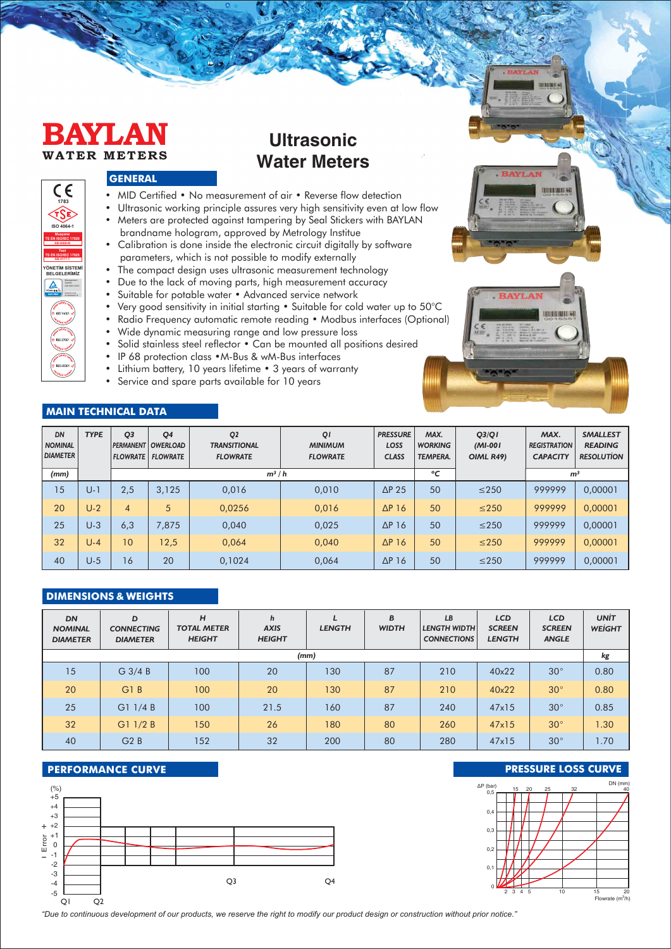

**YÖNETİM SİSTEMİ BELGELERİMİZ**

 $\Delta$ 

Management ISO 9001:2015

**1783**

CE

**ISO 4064-1 Muayene TS EN ISO/IEC 17020 AB-0068-M Test TS EN ISO/IEC 17025 AB-0177-T**

# **Ultrasonic Water Meters**

### **GENERAL**

- MID Certified No measurement of air Reverse flow detection
- Ultrasonic working principle assures very high sensitivity even at low flow
- Meters are protected against tampering by Seal Stickers with BAYLAN
- brandname hologram, approved by Metrology Institue • Calibration is done inside the electronic circuit digitally by software parameters, which is not possible to modify externally
- The compact design uses ultrasonic measurement technology
- Due to the lack of moving parts, high measurement accuracy
- Suitable for potable water Advanced service network
- Very good sensitivity in initial starting Suitable for cold water up to 50°C
- Radio Frequency automatic remote reading Modbus interfaces (Optional)
- Wide dynamic measuring range and low pressure loss
- Solid stainless steel reflector Can be mounted all positions desired
- IP 68 protection class  $\bullet$  M-Bus & wM-Bus interfaces
- Lithium battery, 10 years lifetime 3 years of warranty
- Service and spare parts available for 10 years

### **MAIN TECHNICAL DATA**

| DN<br><b>NOMINAL</b><br><b>DIAMETER</b> | <b>TYPE</b> | O <sub>3</sub> | <b>O4</b><br><b>PERMANENT OWERLOAD</b><br><b>FLOWRATE FLOWRATE</b> | Q <sub>2</sub><br><b>TRANSITIONAL</b><br><b>FLOWRATE</b> | QI<br><b>MINIMUM</b><br><b>FLOWRATE</b> | <b>PRESSURE</b><br>LOSS<br><b>CLASS</b> | MAX.<br><b>WORKING</b><br><b>TEMPERA</b> | Q3/QI<br>$(MI-00I)$<br>OIML R49) | MAX.<br><b>REGISTRATION</b><br><b>CAPACITY</b> | <b>SMALLEST</b><br><b>READING</b><br><b>RESOLUTION</b> |
|-----------------------------------------|-------------|----------------|--------------------------------------------------------------------|----------------------------------------------------------|-----------------------------------------|-----------------------------------------|------------------------------------------|----------------------------------|------------------------------------------------|--------------------------------------------------------|
| (mm)                                    |             |                |                                                                    | $m^3/h$                                                  | °C                                      |                                         | m <sup>3</sup>                           |                                  |                                                |                                                        |
| 15                                      | $U - 7$     | 2,5            | 3.125                                                              | 0,016                                                    | 0,010                                   | $\Delta$ P 25                           | 50                                       | $\leq$ 250                       | 999999                                         | 0,00001                                                |
| 20                                      | $U-2$       | 4              | 5                                                                  | 0.0256                                                   | 0,016                                   | $\Delta P$ 16                           | 50                                       | $\leq$ 250                       | 999999                                         | 0.00001                                                |
| 25                                      | $U-3$       | 6,3            | 7.875                                                              | 0,040                                                    | 0,025                                   | $\Delta$ P 16                           | 50                                       | $\leq$ 250                       | 999999                                         | 0,00001                                                |
| 32                                      | $U - 4$     | 10             | 12,5                                                               | 0,064                                                    | 0.040                                   | $\Delta P$ 16                           | 50                                       | $\leq$ 250                       | 999999                                         | 0,00001                                                |
| 40                                      | $U-5$       | 16             | 20                                                                 | 0,1024                                                   | 0.064                                   | $\Delta P$ 16                           | 50                                       | $\leq$ 250                       | 999999                                         | 0.00001                                                |

### **DIMENSIONS & WEIGHTS**

| <b>DN</b><br><b>NOMINAL</b><br><b>DIAMETER</b> | D<br><b>CONNECTING</b><br><b>DIAMETER</b> | н<br><b>TOTAL METER</b><br><b>HEIGHT</b> | $\mathbf h$<br><b>AXIS</b><br><b>HEIGHT</b> | <b>LENGTH</b> | B<br><b>WIDTH</b> | LB<br><b>LENGTH WIDTH</b><br><b>CONNECTIONS</b> | <b>LCD</b><br><b>SCREEN</b><br><b>LENGTH</b> | <b>LCD</b><br><b>SCREEN</b><br><b>ANGLE</b> | <b>UNIT</b><br><b>WEIGHT</b> |
|------------------------------------------------|-------------------------------------------|------------------------------------------|---------------------------------------------|---------------|-------------------|-------------------------------------------------|----------------------------------------------|---------------------------------------------|------------------------------|
|                                                |                                           |                                          |                                             | (mm)          |                   |                                                 |                                              |                                             | kg                           |
| 15                                             | $G$ 3/4 B                                 | 100                                      | 20                                          | 130           | 87                | 210                                             | 40x22                                        | $30^\circ$                                  | 0.80                         |
| 20                                             | G1B                                       | 100                                      | 20                                          | 130           | 87                | 210                                             | 40x22                                        | $30^\circ$                                  | 0.80                         |
| 25                                             | G11/4B                                    | 100                                      | 21.5                                        | 160           | 87                | 240                                             | 47x15                                        | $30^\circ$                                  | 0.85                         |
| 32 <sup>°</sup>                                | G11/2B                                    | 150                                      | 26                                          | 180           | 80                | 260                                             | 47x15                                        | $30^\circ$                                  | 1.30                         |
| 40                                             | G2B                                       | 152                                      | 32                                          | 200           | 80                | 280                                             | 47x15                                        | $30^\circ$                                  | 1.70                         |





*"Due to cont�nuous development of our products, we reserve the r�ght to mod�fy our product des�gn or construct�on w�thout pr�or not�ce."*